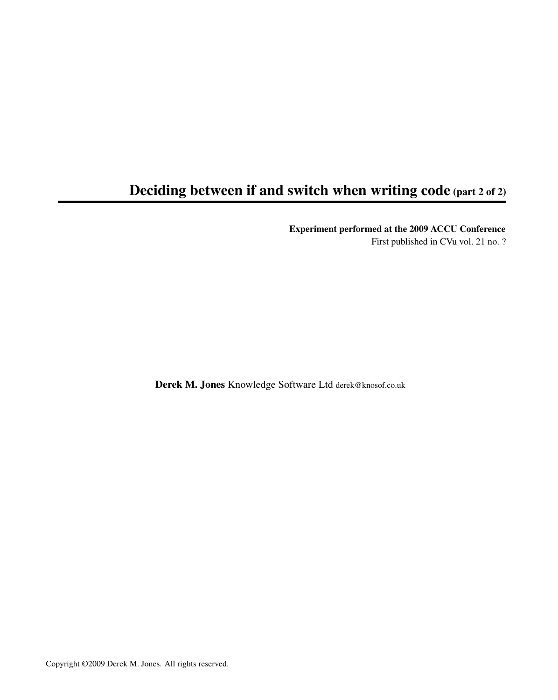## Deciding between if and switch when writing code (part 2 of 2)

Experiment performed at the 2009 ACCU Conference

First published in CVu vol. 21 no. ?

Derek M. Jones Knowledge Software Ltd derek@knosof.co.uk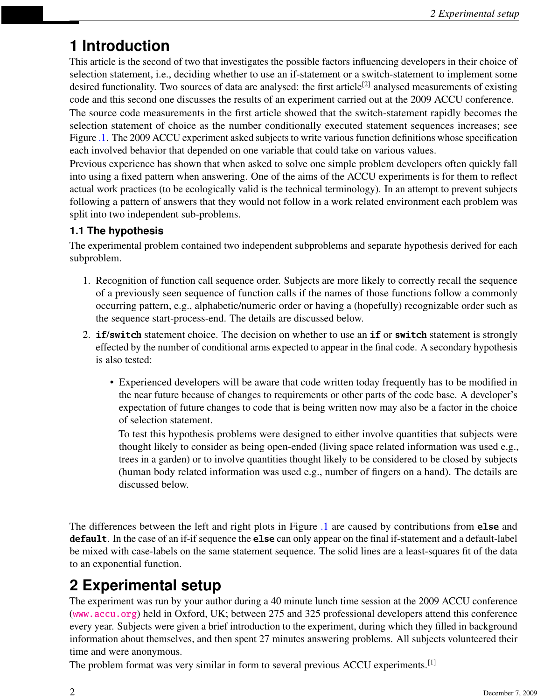# **1 Introduction**

This article is the second of two that investigates the possible factors influencing developers in their choice of selection statement, i.e., deciding whether to use an if-statement or a switch-statement to implement some desired functionality. Two sources of data are analysed: the first article<sup>[2]</sup> analysed measurements of existing code and this second one discusses the results of an experiment carried out at the 2009 ACCU conference. The source code measurements in the first article showed that the switch-statement rapidly becomes the selection statement of choice as the number conditionally executed statement sequences increases; see Figure [.1.](#page-2-0) The 2009 ACCU experiment asked subjects to write various function definitions whose specification each involved behavior that depended on one variable that could take on various values.

Previous experience has shown that when asked to solve one simple problem developers often quickly fall into using a fixed pattern when answering. One of the aims of the ACCU experiments is for them to reflect actual work practices (to be ecologically valid is the technical terminology). In an attempt to prevent subjects following a pattern of answers that they would not follow in a work related environment each problem was split into two independent sub-problems.

### **1.1 The hypothesis**

The experimental problem contained two independent subproblems and separate hypothesis derived for each subproblem.

- 1. Recognition of function call sequence order. Subjects are more likely to correctly recall the sequence of a previously seen sequence of function calls if the names of those functions follow a commonly occurring pattern, e.g., alphabetic/numeric order or having a (hopefully) recognizable order such as the sequence start-process-end. The details are discussed below.
- 2. **if**/**switch** statement choice. The decision on whether to use an **if** or **switch** statement is strongly effected by the number of conditional arms expected to appear in the final code. A secondary hypothesis is also tested:
	- Experienced developers will be aware that code written today frequently has to be modified in the near future because of changes to requirements or other parts of the code base. A developer's expectation of future changes to code that is being written now may also be a factor in the choice of selection statement.

To test this hypothesis problems were designed to either involve quantities that subjects were thought likely to consider as being open-ended (living space related information was used e.g., trees in a garden) or to involve quantities thought likely to be considered to be closed by subjects (human body related information was used e.g., number of fingers on a hand). The details are discussed below.

The differences between the left and right plots in Figure [.1](#page-2-0) are caused by contributions from **else** and **default**. In the case of an if-if sequence the **else** can only appear on the final if-statement and a default-label be mixed with case-labels on the same statement sequence. The solid lines are a least-squares fit of the data to an exponential function.

# **2 Experimental setup**

The experiment was run by your author during a 40 minute lunch time session at the 2009 ACCU conference (<www.accu.org>) held in Oxford, UK; between 275 and 325 professional developers attend this conference every year. Subjects were given a brief introduction to the experiment, during which they filled in background information about themselves, and then spent 27 minutes answering problems. All subjects volunteered their time and were anonymous.

The problem format was very similar in form to several previous ACCU experiments.<sup>[1]</sup>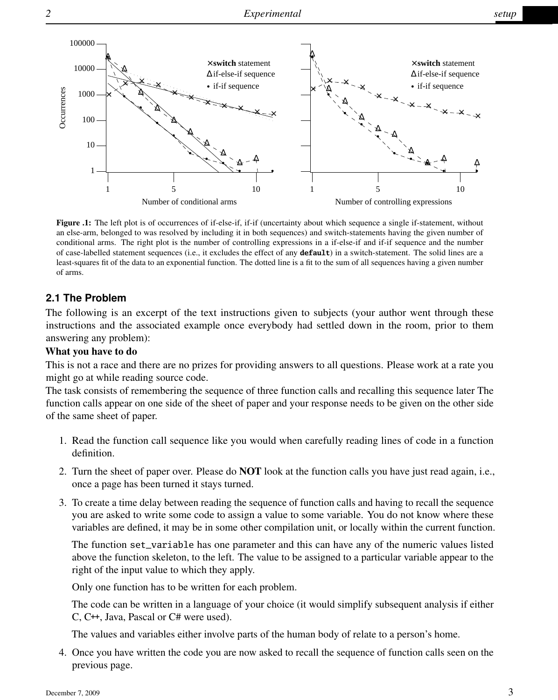

<span id="page-2-0"></span>Figure .1: The left plot is of occurrences of if-else-if, if-if (uncertainty about which sequence a single if-statement, without an else-arm, belonged to was resolved by including it in both sequences) and switch-statements having the given number of conditional arms. The right plot is the number of controlling expressions in a if-else-if and if-if sequence and the number of case-labelled statement sequences (i.e., it excludes the effect of any **default**) in a switch-statement. The solid lines are a least-squares fit of the data to an exponential function. The dotted line is a fit to the sum of all sequences having a given number of arms.

#### **2.1 The Problem**

The following is an excerpt of the text instructions given to subjects (your author went through these instructions and the associated example once everybody had settled down in the room, prior to them answering any problem):

#### What you have to do

This is not a race and there are no prizes for providing answers to all questions. Please work at a rate you might go at while reading source code.

The task consists of remembering the sequence of three function calls and recalling this sequence later The function calls appear on one side of the sheet of paper and your response needs to be given on the other side of the same sheet of paper.

- 1. Read the function call sequence like you would when carefully reading lines of code in a function definition.
- 2. Turn the sheet of paper over. Please do NOT look at the function calls you have just read again, i.e., once a page has been turned it stays turned.
- 3. To create a time delay between reading the sequence of function calls and having to recall the sequence you are asked to write some code to assign a value to some variable. You do not know where these variables are defined, it may be in some other compilation unit, or locally within the current function.

The function set\_variable has one parameter and this can have any of the numeric values listed above the function skeleton, to the left. The value to be assigned to a particular variable appear to the right of the input value to which they apply.

Only one function has to be written for each problem.

The code can be written in a language of your choice (it would simplify subsequent analysis if either C, C++, Java, Pascal or C# were used).

The values and variables either involve parts of the human body of relate to a person's home.

4. Once you have written the code you are now asked to recall the sequence of function calls seen on the previous page.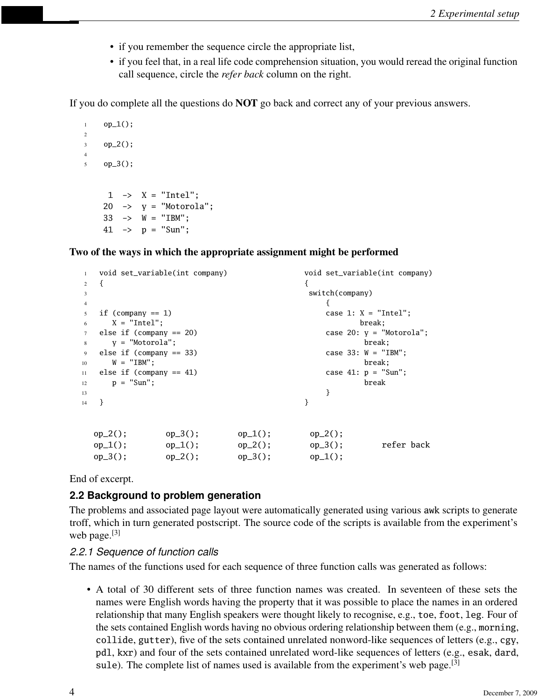- if you remember the sequence circle the appropriate list,
- if you feel that, in a real life code comprehension situation, you would reread the original function call sequence, circle the *refer back* column on the right.

If you do complete all the questions do NOT go back and correct any of your previous answers.

```
1 op_1();
\overline{2}3 op_2();
4
5 op-3();
      1 \rightarrow X = "Intel";20 \rightarrow y = "Motorola";
     33 \rightarrow W = "IBM";41 \rightarrow p = "Sun";
```
Two of the ways in which the appropriate assignment might be performed

| $\overline{1}$ |                                  | void set_variable(int company) |            | void set_variable(int company) |  |
|----------------|----------------------------------|--------------------------------|------------|--------------------------------|--|
| 2              |                                  |                                |            |                                |  |
| $\mathbf{3}$   |                                  | switch(company)                |            |                                |  |
| $\overline{4}$ |                                  |                                |            |                                |  |
| $\sim$         | if (company $== 1$ )             |                                |            | case 1: $X = "Intel";$         |  |
| 6              | $X = "Intel":$                   |                                |            | break;                         |  |
| $\tau$         | else if $\text{(company == 20)}$ |                                |            | case 20: $y =$ "Motorola";     |  |
| 8              | $v = "Motorola":$<br>break;      |                                |            |                                |  |
| 9              | else if $\text{(common} == 33)$  |                                |            | case $33: W = "IBM":$          |  |
| 10             | $W = "IBM";$                     |                                |            | break;                         |  |
| 11             | else if $\text{(common} == 41)$  |                                |            | case $41: p = "Sun";$          |  |
| 12             | $p = "Sun";$                     |                                |            | break                          |  |
| 13             |                                  |                                | }          |                                |  |
| 14             | ł                                |                                | ł          |                                |  |
|                |                                  |                                |            |                                |  |
|                | $op_2()$ ;<br>$op_3()$ ;         | $op_1()$ ;                     | $op_2()$ ; |                                |  |
|                | $op_1()$ ;<br>$op_1()$ ;         | $op_2()$ ;                     | $op_3()$ ; | refer back                     |  |
|                | $op_3()$ ;<br>$op_2()$ ;         | $op_3()$ :                     | $op_1()$ ; |                                |  |
|                |                                  |                                |            |                                |  |

End of excerpt.

#### **2.2 Background to problem generation**

The problems and associated page layout were automatically generated using various awk scripts to generate troff, which in turn generated postscript. The source code of the scripts is available from the experiment's web page. $^{[3]}$ 

#### *2.2.1 Sequence of function calls*

The names of the functions used for each sequence of three function calls was generated as follows:

• A total of 30 different sets of three function names was created. In seventeen of these sets the names were English words having the property that it was possible to place the names in an ordered relationship that many English speakers were thought likely to recognise, e.g., toe, foot, leg. Four of the sets contained English words having no obvious ordering relationship between them (e.g., morning, collide, gutter), five of the sets contained unrelated nonword-like sequences of letters (e.g., cgy, pdl, kxr) and four of the sets contained unrelated word-like sequences of letters (e.g., esak, dard, sule). The complete list of names used is available from the experiment's web page.  $[3]$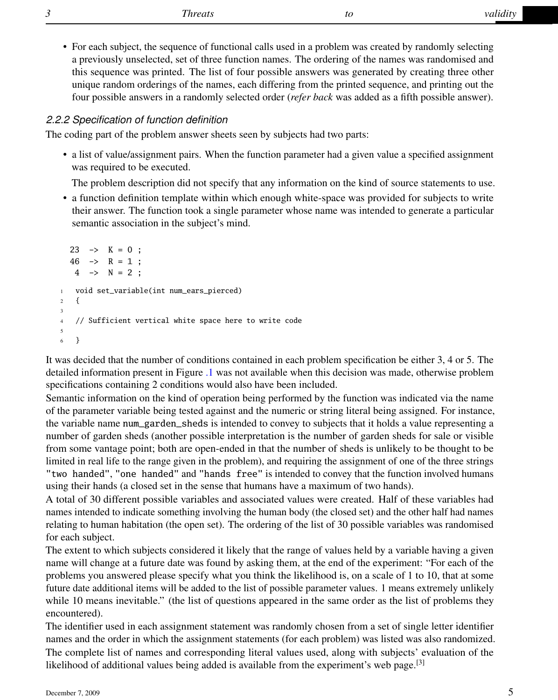• For each subject, the sequence of functional calls used in a problem was created by randomly selecting a previously unselected, set of three function names. The ordering of the names was randomised and this sequence was printed. The list of four possible answers was generated by creating three other unique random orderings of the names, each differing from the printed sequence, and printing out the four possible answers in a randomly selected order (*refer back* was added as a fifth possible answer).

#### *2.2.2 Specification of function definition*

The coding part of the problem answer sheets seen by subjects had two parts:

• a list of value/assignment pairs. When the function parameter had a given value a specified assignment was required to be executed.

The problem description did not specify that any information on the kind of source statements to use.

• a function definition template within which enough white-space was provided for subjects to write their answer. The function took a single parameter whose name was intended to generate a particular semantic association in the subject's mind.

```
23 \rightarrow K = 0;
  46 \rightarrow R = 1:
   4 \rightarrow N = 2;
1 void set_variable(int num_ears_pierced)
2 {
3
4 // Sufficient vertical white space here to write code
5
6 }
```
It was decided that the number of conditions contained in each problem specification be either 3, 4 or 5. The detailed information present in Figure [.1](#page-2-0) was not available when this decision was made, otherwise problem specifications containing 2 conditions would also have been included.

Semantic information on the kind of operation being performed by the function was indicated via the name of the parameter variable being tested against and the numeric or string literal being assigned. For instance, the variable name num\_garden\_sheds is intended to convey to subjects that it holds a value representing a number of garden sheds (another possible interpretation is the number of garden sheds for sale or visible from some vantage point; both are open-ended in that the number of sheds is unlikely to be thought to be limited in real life to the range given in the problem), and requiring the assignment of one of the three strings "two handed", "one handed" and "hands free" is intended to convey that the function involved humans using their hands (a closed set in the sense that humans have a maximum of two hands).

A total of 30 different possible variables and associated values were created. Half of these variables had names intended to indicate something involving the human body (the closed set) and the other half had names relating to human habitation (the open set). The ordering of the list of 30 possible variables was randomised for each subject.

The extent to which subjects considered it likely that the range of values held by a variable having a given name will change at a future date was found by asking them, at the end of the experiment: "For each of the problems you answered please specify what you think the likelihood is, on a scale of 1 to 10, that at some future date additional items will be added to the list of possible parameter values. 1 means extremely unlikely while 10 means inevitable." (the list of questions appeared in the same order as the list of problems they encountered).

The identifier used in each assignment statement was randomly chosen from a set of single letter identifier names and the order in which the assignment statements (for each problem) was listed was also randomized. The complete list of names and corresponding literal values used, along with subjects' evaluation of the likelihood of additional values being added is available from the experiment's web page. $[3]$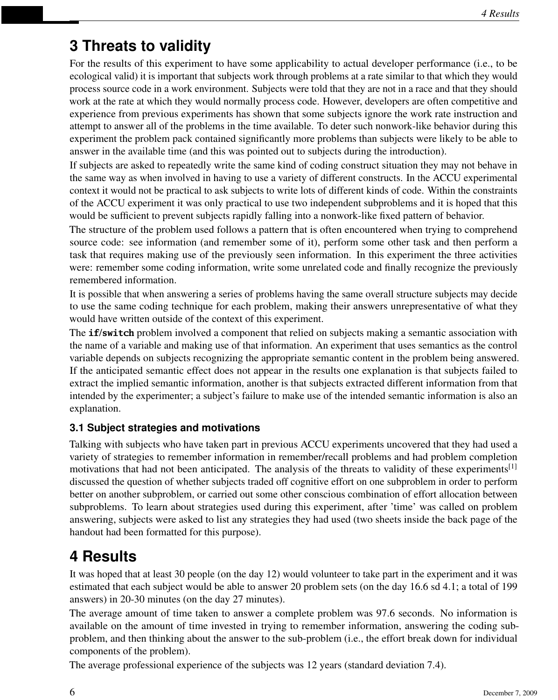## **3 Threats to validity**

For the results of this experiment to have some applicability to actual developer performance (i.e., to be ecological valid) it is important that subjects work through problems at a rate similar to that which they would process source code in a work environment. Subjects were told that they are not in a race and that they should work at the rate at which they would normally process code. However, developers are often competitive and experience from previous experiments has shown that some subjects ignore the work rate instruction and attempt to answer all of the problems in the time available. To deter such nonwork-like behavior during this experiment the problem pack contained significantly more problems than subjects were likely to be able to answer in the available time (and this was pointed out to subjects during the introduction).

If subjects are asked to repeatedly write the same kind of coding construct situation they may not behave in the same way as when involved in having to use a variety of different constructs. In the ACCU experimental context it would not be practical to ask subjects to write lots of different kinds of code. Within the constraints of the ACCU experiment it was only practical to use two independent subproblems and it is hoped that this would be sufficient to prevent subjects rapidly falling into a nonwork-like fixed pattern of behavior.

The structure of the problem used follows a pattern that is often encountered when trying to comprehend source code: see information (and remember some of it), perform some other task and then perform a task that requires making use of the previously seen information. In this experiment the three activities were: remember some coding information, write some unrelated code and finally recognize the previously remembered information.

It is possible that when answering a series of problems having the same overall structure subjects may decide to use the same coding technique for each problem, making their answers unrepresentative of what they would have written outside of the context of this experiment.

The **if**/**switch** problem involved a component that relied on subjects making a semantic association with the name of a variable and making use of that information. An experiment that uses semantics as the control variable depends on subjects recognizing the appropriate semantic content in the problem being answered. If the anticipated semantic effect does not appear in the results one explanation is that subjects failed to extract the implied semantic information, another is that subjects extracted different information from that intended by the experimenter; a subject's failure to make use of the intended semantic information is also an explanation.

### **3.1 Subject strategies and motivations**

Talking with subjects who have taken part in previous ACCU experiments uncovered that they had used a variety of strategies to remember information in remember/recall problems and had problem completion motivations that had not been anticipated. The analysis of the threats to validity of these experiments<sup>[1]</sup> discussed the question of whether subjects traded off cognitive effort on one subproblem in order to perform better on another subproblem, or carried out some other conscious combination of effort allocation between subproblems. To learn about strategies used during this experiment, after 'time' was called on problem answering, subjects were asked to list any strategies they had used (two sheets inside the back page of the handout had been formatted for this purpose).

## **4 Results**

It was hoped that at least 30 people (on the day 12) would volunteer to take part in the experiment and it was estimated that each subject would be able to answer 20 problem sets (on the day 16.6 sd 4.1; a total of 199 answers) in 20-30 minutes (on the day 27 minutes).

The average amount of time taken to answer a complete problem was 97.6 seconds. No information is available on the amount of time invested in trying to remember information, answering the coding subproblem, and then thinking about the answer to the sub-problem (i.e., the effort break down for individual components of the problem).

The average professional experience of the subjects was 12 years (standard deviation 7.4).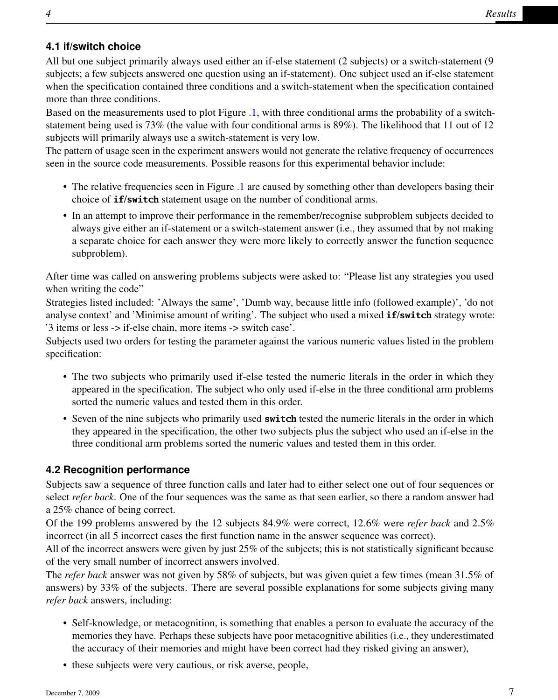### **4.1 if/switch choice**

All but one subject primarily always used either an if-else statement (2 subjects) or a switch-statement (9 subjects; a few subjects answered one question using an if-statement). One subject used an if-else statement when the specification contained three conditions and a switch-statement when the specification contained more than three conditions.

Based on the measurements used to plot Figure [.1,](#page-2-0) with three conditional arms the probability of a switchstatement being used is 73% (the value with four conditional arms is 89%). The likelihood that 11 out of 12 subjects will primarily always use a switch-statement is very low.

The pattern of usage seen in the experiment answers would not generate the relative frequency of occurrences seen in the source code measurements. Possible reasons for this experimental behavior include:

- The relative frequencies seen in Figure [.1](#page-2-0) are caused by something other than developers basing their choice of **if**/**switch** statement usage on the number of conditional arms.
- In an attempt to improve their performance in the remember/recognise subproblem subjects decided to always give either an if-statement or a switch-statement answer (i.e., they assumed that by not making a separate choice for each answer they were more likely to correctly answer the function sequence subproblem).

After time was called on answering problems subjects were asked to: "Please list any strategies you used when writing the code"

Strategies listed included: 'Always the same', 'Dumb way, because little info (followed example)', 'do not analyse context' and 'Minimise amount of writing'. The subject who used a mixed **if**/**switch** strategy wrote: '3 items or less -> if-else chain, more items -> switch case'.

Subjects used two orders for testing the parameter against the various numeric values listed in the problem specification:

- The two subjects who primarily used if-else tested the numeric literals in the order in which they appeared in the specification. The subject who only used if-else in the three conditional arm problems sorted the numeric values and tested them in this order.
- Seven of the nine subjects who primarily used **switch** tested the numeric literals in the order in which they appeared in the specification, the other two subjects plus the subject who used an if-else in the three conditional arm problems sorted the numeric values and tested them in this order.

### **4.2 Recognition performance**

Subjects saw a sequence of three function calls and later had to either select one out of four sequences or select *refer back*. One of the four sequences was the same as that seen earlier, so there a random answer had a 25% chance of being correct.

Of the 199 problems answered by the 12 subjects 84.9% were correct, 12.6% were *refer back* and 2.5% incorrect (in all 5 incorrect cases the first function name in the answer sequence was correct).

All of the incorrect answers were given by just 25% of the subjects; this is not statistically significant because of the very small number of incorrect answers involved.

The *refer back* answer was not given by 58% of subjects, but was given quiet a few times (mean 31.5% of answers) by 33% of the subjects. There are several possible explanations for some subjects giving many *refer back* answers, including:

- Self-knowledge, or metacognition, is something that enables a person to evaluate the accuracy of the memories they have. Perhaps these subjects have poor metacognitive abilities (i.e., they underestimated the accuracy of their memories and might have been correct had they risked giving an answer),
- these subjects were very cautious, or risk averse, people,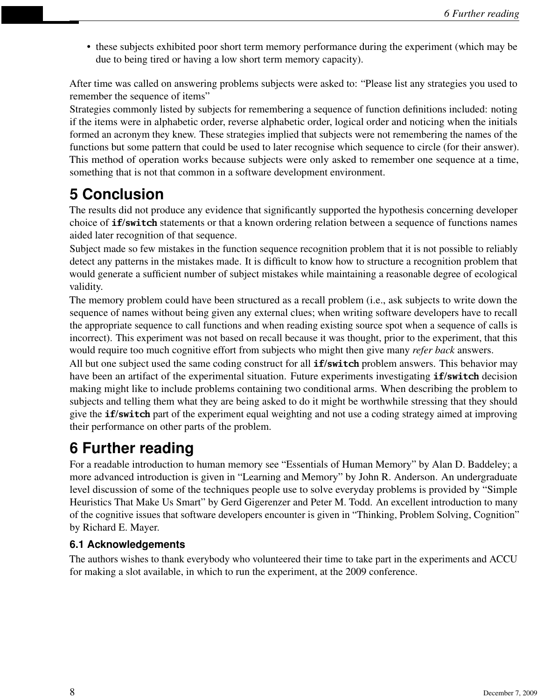• these subjects exhibited poor short term memory performance during the experiment (which may be due to being tired or having a low short term memory capacity).

After time was called on answering problems subjects were asked to: "Please list any strategies you used to remember the sequence of items"

Strategies commonly listed by subjects for remembering a sequence of function definitions included: noting if the items were in alphabetic order, reverse alphabetic order, logical order and noticing when the initials formed an acronym they knew. These strategies implied that subjects were not remembering the names of the functions but some pattern that could be used to later recognise which sequence to circle (for their answer). This method of operation works because subjects were only asked to remember one sequence at a time, something that is not that common in a software development environment.

# **5 Conclusion**

The results did not produce any evidence that significantly supported the hypothesis concerning developer choice of **if**/**switch** statements or that a known ordering relation between a sequence of functions names aided later recognition of that sequence.

Subject made so few mistakes in the function sequence recognition problem that it is not possible to reliably detect any patterns in the mistakes made. It is difficult to know how to structure a recognition problem that would generate a sufficient number of subject mistakes while maintaining a reasonable degree of ecological validity.

The memory problem could have been structured as a recall problem (i.e., ask subjects to write down the sequence of names without being given any external clues; when writing software developers have to recall the appropriate sequence to call functions and when reading existing source spot when a sequence of calls is incorrect). This experiment was not based on recall because it was thought, prior to the experiment, that this would require too much cognitive effort from subjects who might then give many *refer back* answers.

All but one subject used the same coding construct for all **if**/**switch** problem answers. This behavior may have been an artifact of the experimental situation. Future experiments investigating **if**/**switch** decision making might like to include problems containing two conditional arms. When describing the problem to subjects and telling them what they are being asked to do it might be worthwhile stressing that they should give the **if**/**switch** part of the experiment equal weighting and not use a coding strategy aimed at improving their performance on other parts of the problem.

# **6 Further reading**

For a readable introduction to human memory see "Essentials of Human Memory" by Alan D. Baddeley; a more advanced introduction is given in "Learning and Memory" by John R. Anderson. An undergraduate level discussion of some of the techniques people use to solve everyday problems is provided by "Simple Heuristics That Make Us Smart" by Gerd Gigerenzer and Peter M. Todd. An excellent introduction to many of the cognitive issues that software developers encounter is given in "Thinking, Problem Solving, Cognition" by Richard E. Mayer.

### **6.1 Acknowledgements**

The authors wishes to thank everybody who volunteered their time to take part in the experiments and ACCU for making a slot available, in which to run the experiment, at the 2009 conference.